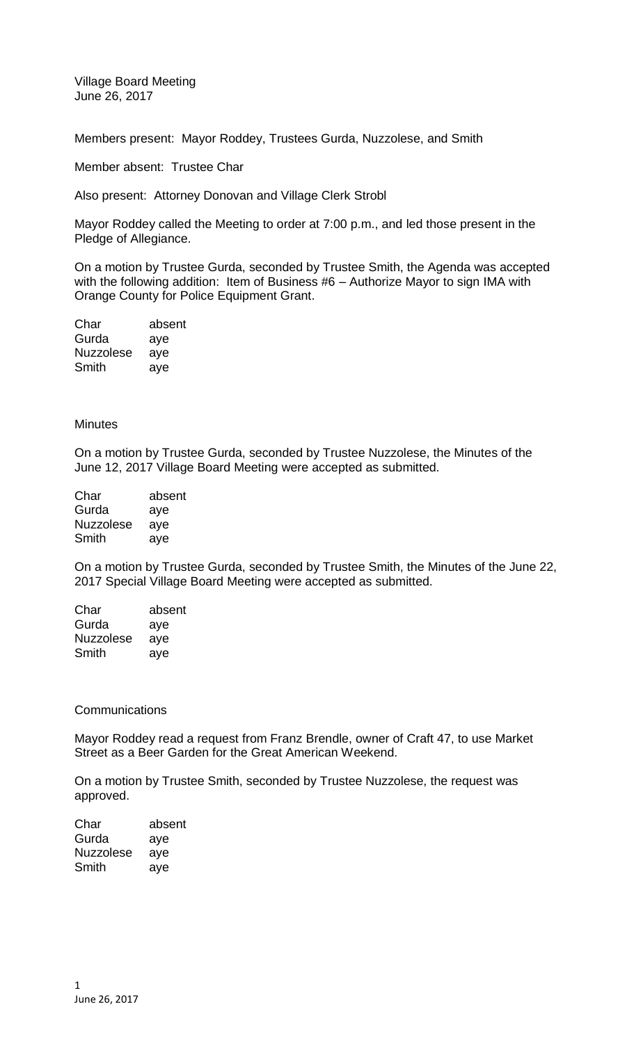Village Board Meeting June 26, 2017

Members present: Mayor Roddey, Trustees Gurda, Nuzzolese, and Smith

Member absent: Trustee Char

Also present: Attorney Donovan and Village Clerk Strobl

Mayor Roddey called the Meeting to order at 7:00 p.m., and led those present in the Pledge of Allegiance.

On a motion by Trustee Gurda, seconded by Trustee Smith, the Agenda was accepted with the following addition: Item of Business #6 – Authorize Mayor to sign IMA with Orange County for Police Equipment Grant.

| Char             | absent |
|------------------|--------|
| Gurda            | aye    |
| <b>Nuzzolese</b> | aye    |
| Smith            | aye    |

## **Minutes**

On a motion by Trustee Gurda, seconded by Trustee Nuzzolese, the Minutes of the June 12, 2017 Village Board Meeting were accepted as submitted.

| Char             | absent |
|------------------|--------|
| Gurda            | aye    |
| <b>Nuzzolese</b> | aye    |
| Smith            | ave    |

On a motion by Trustee Gurda, seconded by Trustee Smith, the Minutes of the June 22, 2017 Special Village Board Meeting were accepted as submitted.

| Char             | absent |
|------------------|--------|
| Gurda            | aye    |
| <b>Nuzzolese</b> | aye    |
| Smith            | ave    |

## **Communications**

Mayor Roddey read a request from Franz Brendle, owner of Craft 47, to use Market Street as a Beer Garden for the Great American Weekend.

On a motion by Trustee Smith, seconded by Trustee Nuzzolese, the request was approved.

| Char             | absent |
|------------------|--------|
| Gurda            | aye    |
| <b>Nuzzolese</b> | aye    |
| Smith            | aye    |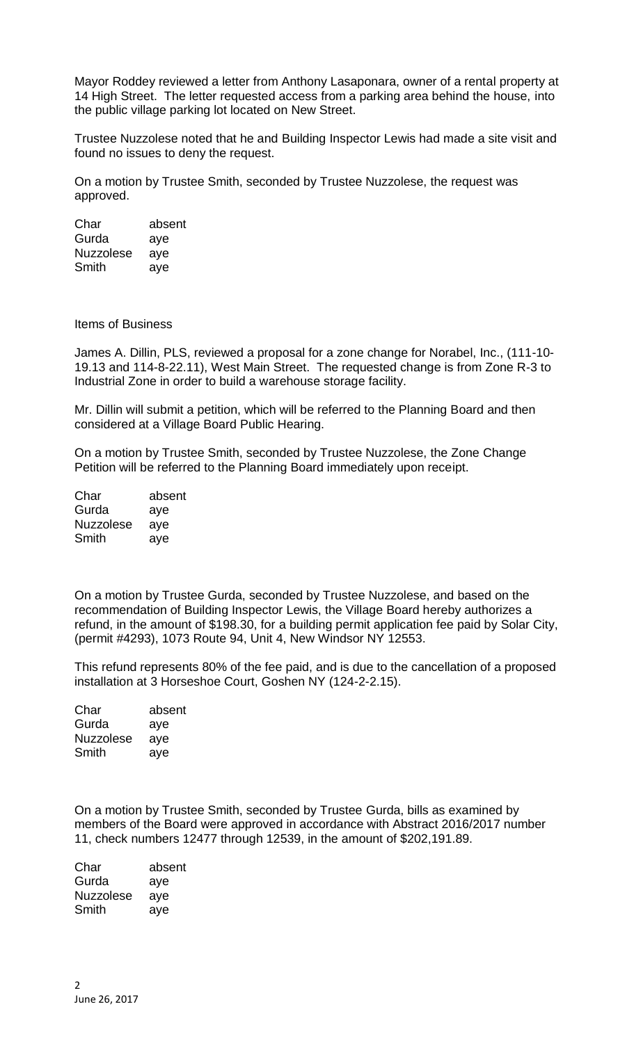Mayor Roddey reviewed a letter from Anthony Lasaponara, owner of a rental property at 14 High Street. The letter requested access from a parking area behind the house, into the public village parking lot located on New Street.

Trustee Nuzzolese noted that he and Building Inspector Lewis had made a site visit and found no issues to deny the request.

On a motion by Trustee Smith, seconded by Trustee Nuzzolese, the request was approved.

Char absent Gurda aye Nuzzolese aye Smith aye

Items of Business

James A. Dillin, PLS, reviewed a proposal for a zone change for Norabel, Inc., (111-10- 19.13 and 114-8-22.11), West Main Street. The requested change is from Zone R-3 to Industrial Zone in order to build a warehouse storage facility.

Mr. Dillin will submit a petition, which will be referred to the Planning Board and then considered at a Village Board Public Hearing.

On a motion by Trustee Smith, seconded by Trustee Nuzzolese, the Zone Change Petition will be referred to the Planning Board immediately upon receipt.

| Char             | absent |
|------------------|--------|
| Gurda            | aye    |
| <b>Nuzzolese</b> | aye    |
| Smith            | aye    |

On a motion by Trustee Gurda, seconded by Trustee Nuzzolese, and based on the recommendation of Building Inspector Lewis, the Village Board hereby authorizes a refund, in the amount of \$198.30, for a building permit application fee paid by Solar City, (permit #4293), 1073 Route 94, Unit 4, New Windsor NY 12553.

This refund represents 80% of the fee paid, and is due to the cancellation of a proposed installation at 3 Horseshoe Court, Goshen NY (124-2-2.15).

| Char             | absent |
|------------------|--------|
| Gurda            | aye    |
| <b>Nuzzolese</b> | aye    |
| Smith            | aye    |

On a motion by Trustee Smith, seconded by Trustee Gurda, bills as examined by members of the Board were approved in accordance with Abstract 2016/2017 number 11, check numbers 12477 through 12539, in the amount of \$202,191.89.

| absent |
|--------|
| aye    |
| aye    |
| aye    |
|        |